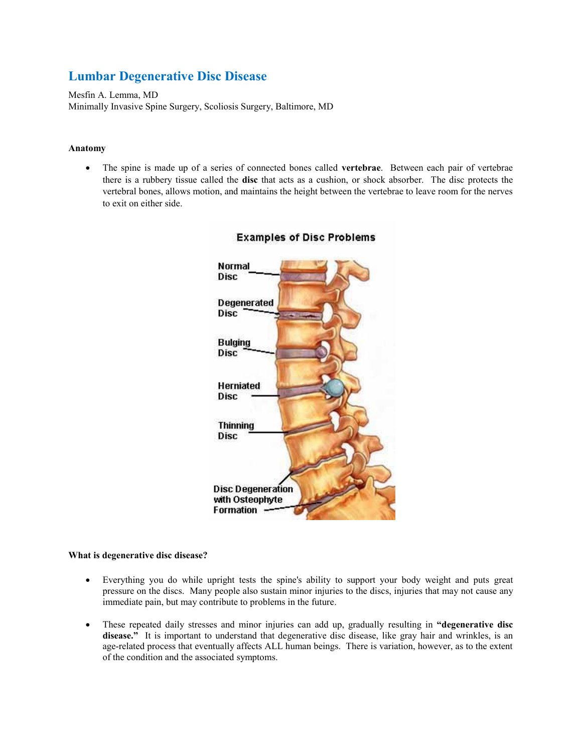# **Lumbar Degenerative Disc Disease**

Mesfin A. Lemma, MD Minimally Invasive Spine Surgery, Scoliosis Surgery, Baltimore, MD

#### **Anatomy**

 The spine is made up of a series of connected bones called **vertebrae**. Between each pair of vertebrae there is a rubbery tissue called the **disc** that acts as a cushion, or shock absorber. The disc protects the vertebral bones, allows motion, and maintains the height between the vertebrae to leave room for the nerves to exit on either side.



## **Examples of Disc Problems**

### **What is degenerative disc disease?**

- Everything you do while upright tests the spine's ability to support your body weight and puts great pressure on the discs. Many people also sustain minor injuries to the discs, injuries that may not cause any immediate pain, but may contribute to problems in the future.
- These repeated daily stresses and minor injuries can add up, gradually resulting in **"degenerative disc**  disease." It is important to understand that degenerative disc disease, like gray hair and wrinkles, is an age-related process that eventually affects ALL human beings. There is variation, however, as to the extent of the condition and the associated symptoms.